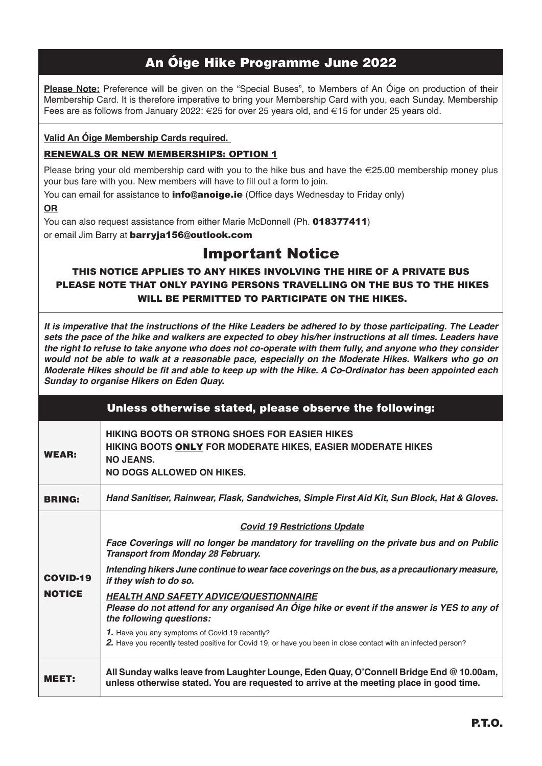## **An Óige Hike Programme June 2022**

**Please Note:** Preference will be given on the "Special Buses", to Members of An Óige on production of their Membership Card. It is therefore imperative to bring your Membership Card with you, each Sunday. Membership Fees are as follows from January 2022: €25 for over 25 years old, and €15 for under 25 years old.

#### **Valid An Óige Membership Cards required.**

#### RENEWALS OR NEW MEMBERSHIPS: OPTION 1

Please bring your old membership card with you to the hike bus and have the  $\epsilon$ 25.00 membership money plus your bus fare with you. New members will have to fill out a form to join.

You can email for assistance to **info@anoige.ie** (Office days Wednesday to Friday only)

**OR**

You can also request assistance from either Marie McDonnell (Ph. 018377411)

or email Jim Barry at barryja156@outlook.com

# Important Notice

### THIS NOTICE APPLIES TO ANY HIKES INVOLVING THE HIRE OF A PRIVATE BUS PLEASE NOTE THAT ONLY PAYING PERSONS TRAVELLING ON THE BUS TO THE HIKES WILL BE PERMITTED TO PARTICIPATE ON THE HIKES.

*It is imperative that the instructions of the Hike Leaders be adhered to by those participating. The Leader sets the pace of the hike and walkers are expected to obey his/her instructions at all times. Leaders have the right to refuse to take anyone who does not co-operate with them fully, and anyone who they consider would not be able to walk at a reasonable pace, especially on the Moderate Hikes. Walkers who go on Moderate Hikes should be fi t and able to keep up with the Hike. A Co-Ordinator has been appointed each Sunday to organise Hikers on Eden Quay.* 

|                 | Unless otherwise stated, please observe the following:                                                                                                                             |
|-----------------|------------------------------------------------------------------------------------------------------------------------------------------------------------------------------------|
| <b>WEAR:</b>    | <b>HIKING BOOTS OR STRONG SHOES FOR EASIER HIKES</b><br>HIKING BOOTS ONLY FOR MODERATE HIKES, EASIER MODERATE HIKES<br><b>NO JEANS.</b><br>NO DOGS ALLOWED ON HIKES.               |
| <b>BRING:</b>   | Hand Sanitiser, Rainwear, Flask, Sandwiches, Simple First Aid Kit, Sun Block, Hat & Gloves.                                                                                        |
|                 | <b>Covid 19 Restrictions Update</b>                                                                                                                                                |
|                 | Face Coverings will no longer be mandatory for travelling on the private bus and on Public<br><b>Transport from Monday 28 February.</b>                                            |
| <b>COVID-19</b> | Intending hikers June continue to wear face coverings on the bus, as a precautionary measure,<br>if they wish to do so.                                                            |
| <b>NOTICE</b>   | <b>HEALTH AND SAFETY ADVICE/QUESTIONNAIRE</b><br>Please do not attend for any organised An Óige hike or event if the answer is YES to any of<br>the following questions:           |
|                 | 1. Have you any symptoms of Covid 19 recently?<br>2. Have you recently tested positive for Covid 19, or have you been in close contact with an infected person?                    |
| MEET:           | All Sunday walks leave from Laughter Lounge, Eden Quay, O'Connell Bridge End @ 10.00am,<br>unless otherwise stated. You are requested to arrive at the meeting place in good time. |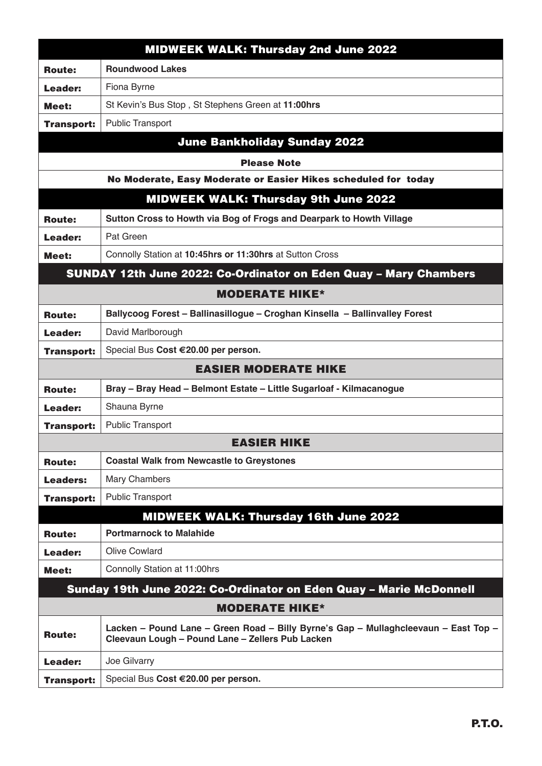|                       | <b>MIDWEEK WALK: Thursday 2nd June 2022</b>                                                                                             |  |
|-----------------------|-----------------------------------------------------------------------------------------------------------------------------------------|--|
| <b>Route:</b>         | <b>Roundwood Lakes</b>                                                                                                                  |  |
| Leader:               | Fiona Byrne                                                                                                                             |  |
| Meet:                 | St Kevin's Bus Stop, St Stephens Green at 11:00hrs                                                                                      |  |
| <b>Transport:</b>     | <b>Public Transport</b>                                                                                                                 |  |
|                       | <b>June Bankholiday Sunday 2022</b>                                                                                                     |  |
|                       | <b>Please Note</b>                                                                                                                      |  |
|                       | No Moderate, Easy Moderate or Easier Hikes scheduled for today                                                                          |  |
|                       | <b>MIDWEEK WALK: Thursday 9th June 2022</b>                                                                                             |  |
| <b>Route:</b>         | Sutton Cross to Howth via Bog of Frogs and Dearpark to Howth Village                                                                    |  |
| Leader:               | Pat Green                                                                                                                               |  |
| Meet:                 | Connolly Station at 10:45hrs or 11:30hrs at Sutton Cross                                                                                |  |
|                       | <b>SUNDAY 12th June 2022: Co-Ordinator on Eden Quay - Mary Chambers</b>                                                                 |  |
|                       | <b>MODERATE HIKE*</b>                                                                                                                   |  |
| <b>Route:</b>         | Ballycoog Forest - Ballinasillogue - Croghan Kinsella - Ballinvalley Forest                                                             |  |
| Leader:               | David Marlborough                                                                                                                       |  |
| <b>Transport:</b>     | Special Bus Cost €20.00 per person.                                                                                                     |  |
|                       | <b>EASIER MODERATE HIKE</b>                                                                                                             |  |
| <b>Route:</b>         | Bray - Bray Head - Belmont Estate - Little Sugarloaf - Kilmacanogue                                                                     |  |
| Leader:               | Shauna Byrne                                                                                                                            |  |
| <b>Transport:</b>     | <b>Public Transport</b>                                                                                                                 |  |
|                       | <b>EASIER HIKE</b>                                                                                                                      |  |
| <b>Route:</b>         | <b>Coastal Walk from Newcastle to Greystones</b>                                                                                        |  |
| <b>Leaders:</b>       | Mary Chambers                                                                                                                           |  |
| <b>Transport:</b>     | <b>Public Transport</b>                                                                                                                 |  |
|                       | <b>MIDWEEK WALK: Thursday 16th June 2022</b>                                                                                            |  |
| <b>Route:</b>         | <b>Portmarnock to Malahide</b>                                                                                                          |  |
| Leader:               | <b>Olive Cowlard</b>                                                                                                                    |  |
| Meet:                 | Connolly Station at 11:00hrs                                                                                                            |  |
|                       | Sunday 19th June 2022: Co-Ordinator on Eden Quay - Marie McDonnell                                                                      |  |
| <b>MODERATE HIKE*</b> |                                                                                                                                         |  |
| <b>Route:</b>         | Lacken – Pound Lane – Green Road – Billy Byrne's Gap – Mullaghcleevaun – East Top –<br>Cleevaun Lough - Pound Lane - Zellers Pub Lacken |  |
| Leader:               | Joe Gilvarry                                                                                                                            |  |
| <b>Transport:</b>     | Special Bus Cost €20.00 per person.                                                                                                     |  |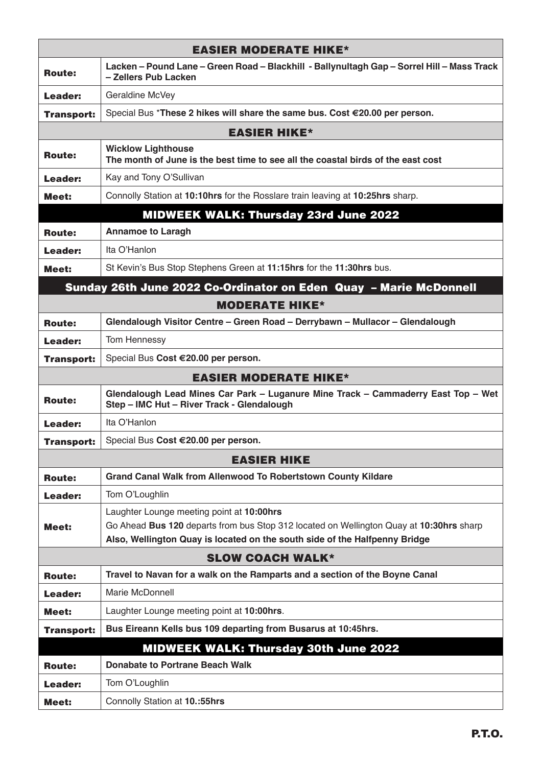|                   | <b>EASIER MODERATE HIKE*</b>                                                                                                                                                                                       |
|-------------------|--------------------------------------------------------------------------------------------------------------------------------------------------------------------------------------------------------------------|
| <b>Route:</b>     | Lacken – Pound Lane – Green Road – Blackhill - Ballynultagh Gap – Sorrel Hill – Mass Track<br>- Zellers Pub Lacken                                                                                                 |
| Leader:           | Geraldine McVey                                                                                                                                                                                                    |
| <b>Transport:</b> | Special Bus *These 2 hikes will share the same bus. Cost €20.00 per person.                                                                                                                                        |
|                   | <b>EASIER HIKE*</b>                                                                                                                                                                                                |
| <b>Route:</b>     | <b>Wicklow Lighthouse</b><br>The month of June is the best time to see all the coastal birds of the east cost                                                                                                      |
| Leader:           | Kay and Tony O'Sullivan                                                                                                                                                                                            |
| Meet:             | Connolly Station at 10:10hrs for the Rosslare train leaving at 10:25hrs sharp.                                                                                                                                     |
|                   | <b>MIDWEEK WALK: Thursday 23rd June 2022</b>                                                                                                                                                                       |
| <b>Route:</b>     | <b>Annamoe to Laragh</b>                                                                                                                                                                                           |
| Leader:           | Ita O'Hanlon                                                                                                                                                                                                       |
| Meet:             | St Kevin's Bus Stop Stephens Green at 11:15hrs for the 11:30hrs bus.                                                                                                                                               |
|                   | Sunday 26th June 2022 Co-Ordinator on Eden Quay - Marie McDonnell                                                                                                                                                  |
|                   | <b>MODERATE HIKE*</b>                                                                                                                                                                                              |
| <b>Route:</b>     | Glendalough Visitor Centre - Green Road - Derrybawn - Mullacor - Glendalough                                                                                                                                       |
| Leader:           | Tom Hennessy                                                                                                                                                                                                       |
| <b>Transport:</b> | Special Bus Cost €20.00 per person.                                                                                                                                                                                |
|                   | <b>EASIER MODERATE HIKE*</b>                                                                                                                                                                                       |
| <b>Route:</b>     | Glendalough Lead Mines Car Park - Luganure Mine Track - Cammaderry East Top - Wet<br>Step - IMC Hut - River Track - Glendalough                                                                                    |
| Leader:           | Ita O'Hanlon                                                                                                                                                                                                       |
| <b>Transport:</b> | Special Bus Cost €20.00 per person.                                                                                                                                                                                |
|                   | <b>EASIER HIKE</b>                                                                                                                                                                                                 |
| <b>Route:</b>     | <b>Grand Canal Walk from Allenwood To Robertstown County Kildare</b>                                                                                                                                               |
| Leader:           | Tom O'Loughlin                                                                                                                                                                                                     |
| Meet:             | Laughter Lounge meeting point at 10:00hrs<br>Go Ahead Bus 120 departs from bus Stop 312 located on Wellington Quay at 10:30hrs sharp<br>Also, Wellington Quay is located on the south side of the Halfpenny Bridge |
|                   | <b>SLOW COACH WALK*</b>                                                                                                                                                                                            |
| <b>Route:</b>     | Travel to Navan for a walk on the Ramparts and a section of the Boyne Canal                                                                                                                                        |
| Leader:           | Marie McDonnell                                                                                                                                                                                                    |
| Meet:             | Laughter Lounge meeting point at 10:00hrs.                                                                                                                                                                         |
| <b>Transport:</b> | Bus Eireann Kells bus 109 departing from Busarus at 10:45hrs.                                                                                                                                                      |
|                   | <b>MIDWEEK WALK: Thursday 30th June 2022</b>                                                                                                                                                                       |
| <b>Route:</b>     | <b>Donabate to Portrane Beach Walk</b>                                                                                                                                                                             |
| Leader:           | Tom O'Loughlin                                                                                                                                                                                                     |
| <b>Meet:</b>      | Connolly Station at 10.:55hrs                                                                                                                                                                                      |